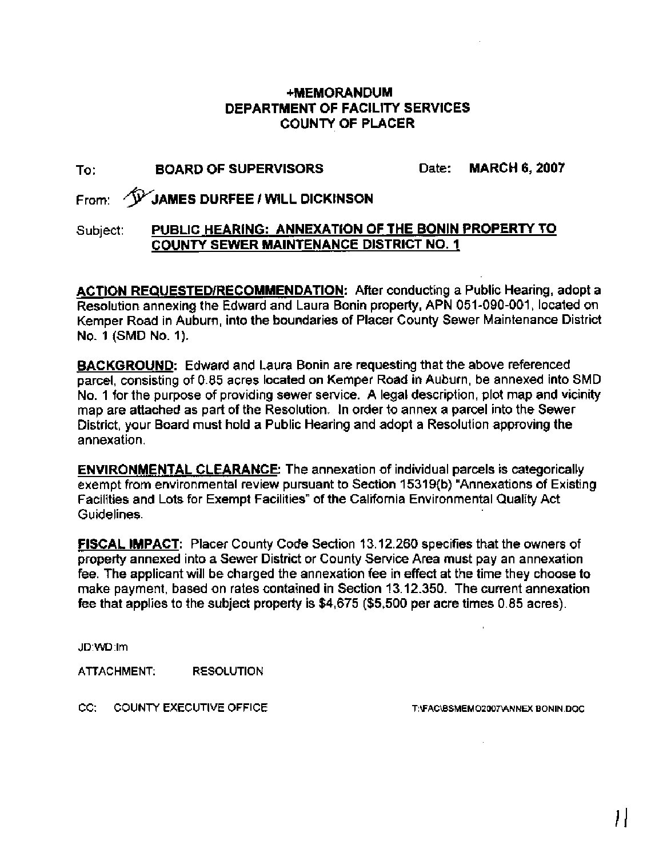## **+MEMORANDUM DEPARTMENT OF FACILITY SERVICES COUNTY OF PLACER**

# To: **BOARD OF SUPERVISORS** Date: **MARCH 6,** 2007

From: **\*JAMES DURFEE 1 WILL DICKINSON** 

### Subject: **PUBLIC HEARING: ANNEXATION OF THE BONlN PROPERTY TO COUNTY SEWER MAINTENANCE DISTRICT NO. 1**

**ACTION REQUESTEDIRECOMMENDATION:** After conducting a Public Hearing, adopt a Resolution annexing the Edward and Laura Bonin property, APN 051-090-001, located on Kemper Road in Auburn, into the boundaries of Placer County Sewer Maintenance District No. 1 (SMD No. 1).

**BACKGROUND:** Edward and Laura Bonin are requesting that the above referenced parcel, consisting of 0.85 acres located on Kemper Road in Auburn, be annexed into SMD No. 1 for the purpose of providing sewer service. A legal description, plot map and vicinity map are attached as part of the Resolution. In order to annex a parcel into the Sewer District, your Board must hold a Public Hearing and adopt a Resolution approving the annexation.

**ENVIRONMENTAL CLEARANCE:** The annexation of individual parcels is categorically exempt from environmental review pursuant to Section 15319(b) "Annexations of Existing Facilities and Lots for Exempt Facilities" of the California Environmental Quality Act Guidelines.

**FISCAL IMPACT:** Placer County Code Section 13.12.260 specifies that the owners of property annexed into a Sewer District or County Service Area must pay an annexation fee. The applicant will be charged the annexation fee in effect at the time they choose to make payment, based on rates contained in Section 13.12.350. The current annexation fee that applies to the subject property is \$4,675 (\$5,500 per acre times 0.85 acres).

JD:WD:Irn

ATTACHMENT: RESOLUTION

CC: COUNTY EXECUTIVE OFFICE

T:\FAC\BSMEMO2007\ANNEX BONIN.DOC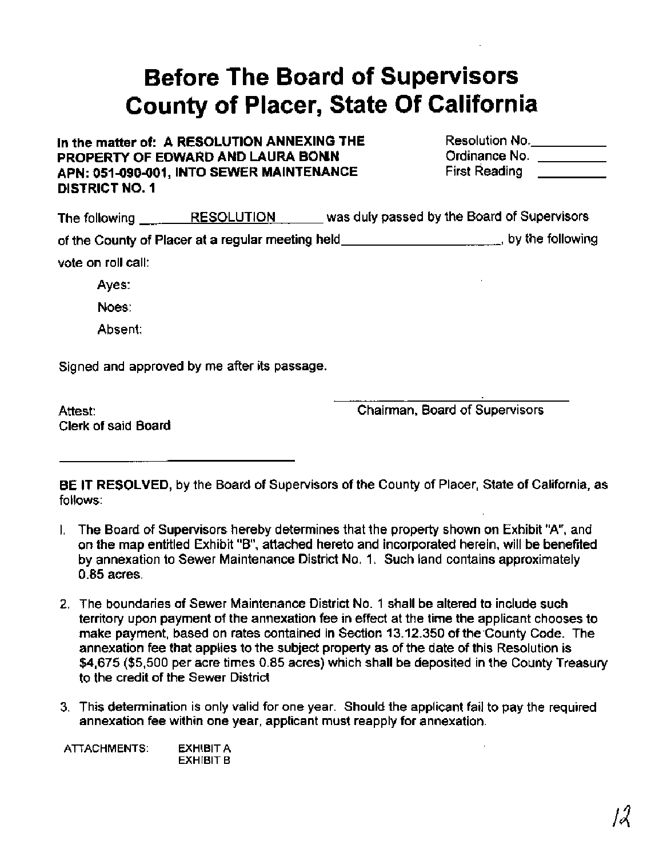# **Before The Board of Supervisors County of Placer, State Of California**

### In the matter of: A RESOLUTION ANNEXING THE **PROPERTY OF EDWARD AND LAURA BONN** APN: 051-090-001, INTO SEWER MAINTENANCE **DISTRICT NO. 1**

| Resolution No.       |  |
|----------------------|--|
| Ordinance No.        |  |
| <b>First Reading</b> |  |

| The following      | <b>RESOLUTION</b>                                 | was duly passed by the Board of Supervisors |                                 |
|--------------------|---------------------------------------------------|---------------------------------------------|---------------------------------|
|                    | of the County of Placer at a regular meeting held |                                             | $\mathbf{u}$ , by the following |
| vote on roll call: |                                                   |                                             |                                 |
| Ayes:              |                                                   |                                             |                                 |

Noes:

Absent:

Signed and approved by me after its passage.

Attest: Clerk of said Board Chairman, Board of Supervisors

**BE IT RESOLVED,** by the Board of Supervisors of the County of Placer, State of California, as follows:

- I. The Board of Supervisors hereby determines that the property shown on Exhibit "A", and on the map entitled Exhibit "B", attached hereto and incorporated herein, will be benefited by annexation to Sewer Maintenance District No. 1. Such land contains approximately 0.85 acres.
- 2. The boundaries of Sewer Maintenance District No. 1 shall be altered to include such territory upon payment of the annexation fee in effect at the time the applicant chooses to make payment, based on rates contained in Section 13.12.350 of the County Code. The annexation fee that applies to the subject property as of the date of this Resolution is \$4,675 (\$5,500 per acre times 0.85 acres) which shall be deposited in the County Treasury to the credit of the Sewer District
- 3. This determination is only valid for one year. Should the applicant fail to pay the required annexation fee within one year, applicant must reapply for annexation.

**ATTACHMENTS: EXHIBIT A EXHIBIT B**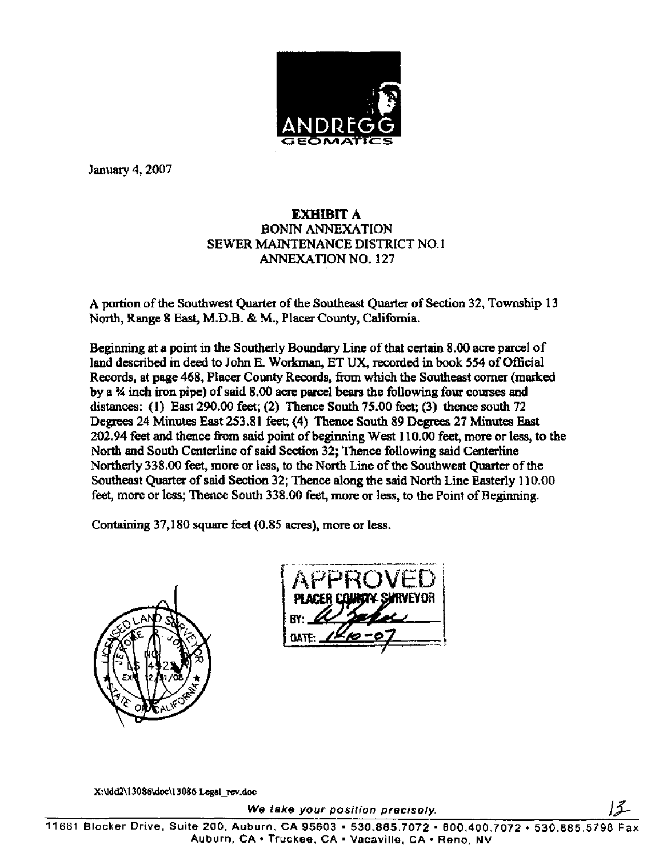

January 4,2007

## **EXHIBIT** A BONIN ANNEXATION SEWER MAINTENANCE DISTRICT NO. 1 ANNEXATION NO. 127

A portion of the Southwest Quarter of the Southeast Quarter of Section 32, Township 13 North, Range 8 East, M.D.B. & M., Placer County, California.

Beginning at a point in the Southerly Boundary Line of that certain 8.00 acre parcel of land described in deed to John E. Workman, ET **UX,** recorded in book 554 of Official Records, at page 468, Placer County Records, fiom which the Southeast corner (marked by a % inch iron pipe) of said 8.00 acre parcel bears the following four courses and distances: (1) East 290.00 feet; (2) **Thence** South 75.00 feet; (3) thence south 72 Degrees 24 Minutes East 253.81 feet; (4) **Thence** South 89 Degrees 27 Minutes East 202.94 feet and thence fiom said point of beginning West 1 10.00 feet, more or less, to the North and South Centerline of said Section 32; Thence following said Centerline Northerly 338.00 feet, more or less, to the North Line of the Southwest Quarter of the Southeast Quarter of said Section 32; **Thence** along the said North Line Easterly 1 10.00 feet, more or less; Thence South 338.00 feet, more or less, to the Point of Beginning.

Containing 37,180 square feet (0.85 acres), more or less.



X:\Idd2\13086\doc\13086 Legal\_rev.doc

We take your position precisely.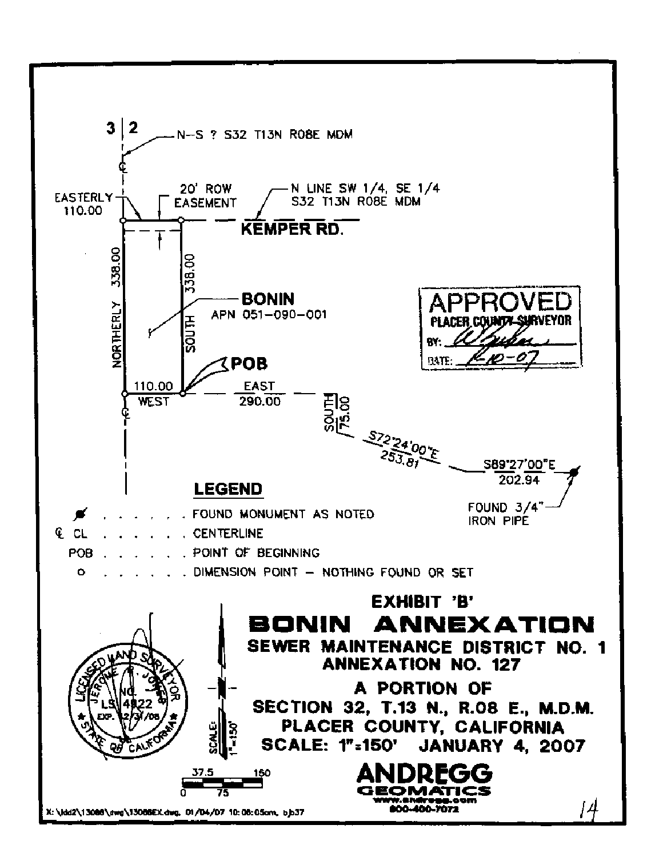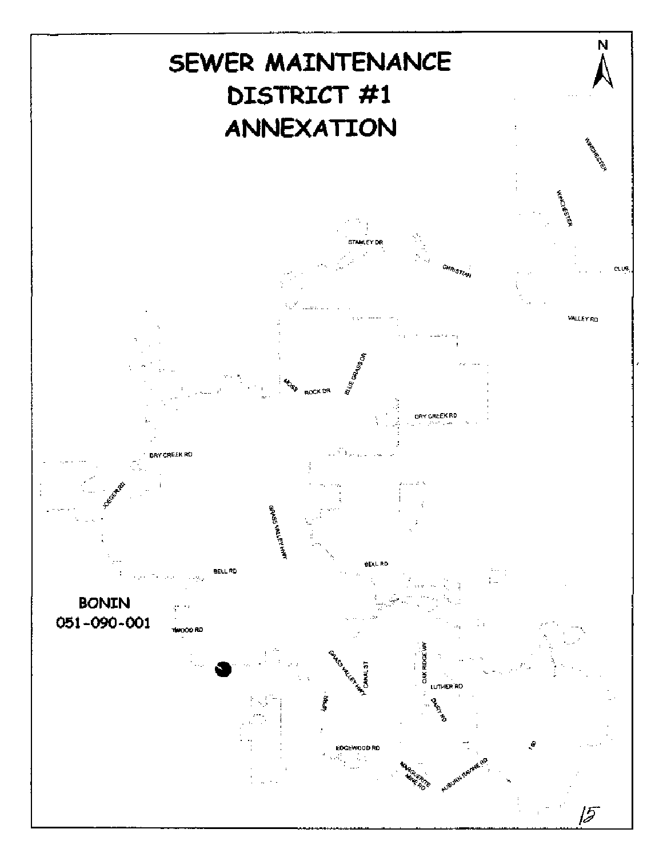